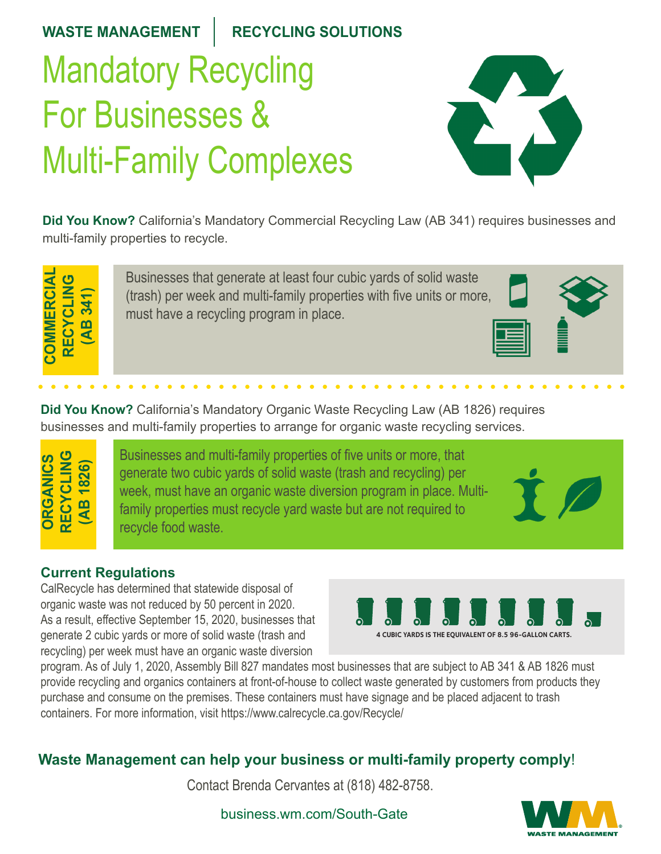#### <code>WASTE MANAGEMENT  $\parallel$  RECYCLING SOLUTIONS</code> Mandatory Recycling Mandatory Recycling For Businesses & For Businesses & For Businesses & Multi-Family Complexes Multi-Family Complexes WASTE MANAGEMENT | RECYCLING **For Businesses** &  $\overline{M}$  is  $\overline{F}$  and  $\overline{Q}$  and  $\overline{Q}$ Mandatory Recycling Multi-Family Complexes WASTE MANAGEMENT **RECYCLING SOLUTIONS** Mandatory Recycling For Businesses & Multi-Family Complexes Multi-Family Complexes Mandatory Recycll For Businesses & **CTE MANAGEMENT** RECYCLING COLUTIONS andatory Recycling or Businesses &



Did You Know? California's Mandatory Commercial Recycling Law (AB 341) requires businesses and multi-family properties to recycle. Businesses that generate at least four cubic yards of solid waste **d You Know?** California's Mandatory Commercial Recycling Law (AB 341) requires businesses and **Did You Know?** California's Mandatory Commercial Recycling Law (AB 341), requires businesses **a fou Know?** California S iviandatory **CALIFORNIA MANDATORY Did You Know?** California's Mandatory Commercial Recycling Law (AB 341), requires businesses and multi-family properties to recognize the recycle.



I

Businesses that generate at least four cubic yards of solid waste pasinesses that generate at least four easily grids or solid waster<br>(trash) per week and multi-family properties with five units or more, must have a recycling program in place. ash) per week and multi-family properties with five units or more,  $\Box$ Businesses that generate at least four cubic yards of solid waste Businesses that generate at least four cubic yards of solid waste per week and multi-family properties with five units or more, multi-family properties with five units or more, have a requeling program in place.

per week and multi-family properties with five units or more, must



The commercial sector generates nearly three fourths of the solid waste in California. Much of the commercial sector waste disposed in landfills is readily

recyclable.

AB 341 requires all businesses that generate 4

recycling services.

**recycling guide.<CITY NAME>**

Did You Know? California's Mandatory Organic Waste Recycling Law (AB 1826) requires businesses and multi-family properties to arrange for organic waste recycling services. a rearthem: Salifornia 3 Mandatory Sigamo viaste recycling Eaw (NB 1620) requires<br>sinesses and multi-family properties to arrange for organic waste recycling services. **d You Know?** California's Mandatory Organic Waste Recycling Law (AB 1826) requires **Did You Know?** California's Mandatory Organic Waste Recycling Law (AB 1826), requires **d You Know?** California's Mandatory Organic Waste Recycling Law (AB 1826) require generate four cubic yards of solid was tended to provide the person of solid waste per week, must be a performed or ic waste requoling services  $\mathcal{L}$  multiparties to the following collection services. **Did You Know?** California's Mandatory Organic Waste Recycling Law (AB 1826), requires business. Cambring changalory cryanic video recycling Law (np 1020) requires. **The Law**

**Did You Know?** California's Mandatory Organic Waste Recycling Law (AB 1826), requires

businesses and multi-family properties to arrange for organic waste recycling services.

**ORGANICS RECYCLING (AB 1826) (AB 1826) ORGANICS RECYCLING ORGANICS RECYCLE**<br>Property<br>Property **(AB 1826) Current Regulations ORGANICS RECYCLIC (AB 1826) COVAL RECYCLIC (AB 1826) ORGANICS** ind<br>CLIC **(AB 1826) PRINCIPY RECYCLISH** 

Businesses and multi-family properties of five units or more, that generate two cubic yards of solid waste (trash and recycling) per week, must have an organic waste diversion program in place. Multifamily properties must recycle yard waste but are not required to **1 cubic yards or more of that generate**  $\sqrt{2}$ **CR**  $\sim$  **C** recycle food waste. mily properties must recycle yard waste but are not required to **recycle food, yard waster or the condensation**  $\mathcal{S}$  of filor $\mathcal{C}, \mathcal{U}$  and  $\mathcal{C}$ for scraps, food-soiled paper and landscape trimming trimming trimming to recycle for the core of the core of the core of the core of the core of the core of the core of the core of the core of the core of the core of the **What's New? Starting January 1, 2019**  $B_{\rm eff}$  and multi-family properties of five units or more, that  $\sigma$ Businesses and multi-family properties of five units or more, that food scraps, food-soiled paper and landscaping  $\mathcal{L}$ What's New York New York New York New York New York New York New York New York New York New York New York New York New York New York New York New York New York New York New York New York New York New York New York New York ards signal program in place, watchtrimmings, nonhazardous wood, and food soiled paper. inesses and multi-family properties of five units or more, that nesses and malu-lamily properties or live drills or more, that<br>erate two cubic vards of solid waste (trash and recvcling) per brate two cubic yards of solid waste (if ash and recycling) per w, must have an organic waste diversion program in place. Multi-<br>Iy properties must recycle yard waste but are not required to  $\mathbf{v}_1$  multiparties to have recycling collection services. The  $\mathbf{v}_2$ Businesses that generate **4 cubic yards or more of solid waste per week**

#### **Current Regulations Current Regulations** Surrent Regulations<br>2017, businesses that generate 401 Since January 2017, businesses that generate **Since Tanuary 2017, business that generates the generator of the generator of the generator of the generator o**

**(AB 1826)**

**Current Regulations**

CalRecycle has determined that statewide disposal of or organic waste was not reduced by 50 percent in 2020. As a result, effective September 15, 2020, businesses that generate 2 cubic yards or more of solid waste (trash and recycling) per week must have an organic waste diversion CalRecycle has determined that statewide disposal of Recycle has determined that statewide disposal of inic waste was not reduced by  $50$  percent in  $202$  $\alpha$  result, effective September 15, 2020, businesses  $area \, z$  cubic yards or more of solid waste (trash and  $\overline{w}$ cing) per week must nave an organic was<br>seen Apof July 4, 2020, Appendely Bill 007

Since January 2017, businesses that generate

**4 CUBIC YARDS IS THE EQUIVALENT OF 8.5 96-GALLON CARTS. 4 CUBIC YARDS IS THE EQUIVALENT OF 8.5 96-GALLON CARTS. 4 CUBIC YARDS IS THE EQUIVALENT OF 8.5 96-GALLON CARTS.** 

trimmings, nonhazardous wood, and food soiled paper.

program. As of July 1, 2020, Assembly Bill 827 mandates most businesses that are subject to AB 341 & AB 1826 must program. Yet of early 1, 2020, Assembly Bill 021 manuates most basinesses that are subject to AB 041 & AB 1020 must<br>provide recycling and organics containers at front-of-house to collect waste generated by customers from p purchase and consume on the premises. These containers must have signage and be placed adjacent to trash<br>containers. Farmers information wisit bitmediately served as a mullemandal. containers. For more information, visit https://www.calrecycle.ca.gov/Recycle/ was must have signage and he placed ac since interesting and the process that generate 4 cubic yards or more or more or more or more or more or more o purchase and consume on the premises. These containers must have signage and be placed adjacent to trash  $\frac{1}{2}$  in the free mormanon, visit https://www.can ecycle.ca.gov/recycle/  $s$  most businesses that are subject to AB 34 i  $\alpha$  AB 1626 must was a week must subscribe to organize the subscribe to organize the subscribe to organize the subscribe to organize the subscribe to organize the subscribe to organize the subscribe to organize the subscribe to organize th

#### Waste Management can help your business or multi-family property comply! **Waste Management can help your business or multi-family property comply**! well your publication of multi-family recycling requirements. Contact Waste Management to schedule an assessment. eta Management can help your business or multi-family property comply! aste Management can help your business or multi-family property comply! 1826, at (800) 423-9986.

Contact Brenda Cervantes at (818) 482-8758. renda Cervantes at (818) 482-8758. Contact Waste Management to schedule an assessment.



business.wm.com/South-Gate www.keepinginginging.com/